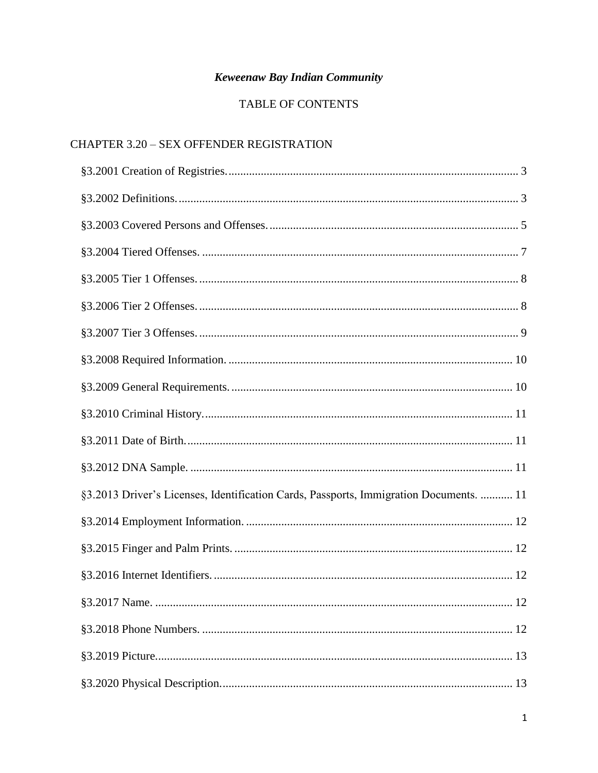# Keweenaw Bay Indian Community

# TABLE OF CONTENTS

# CHAPTER 3.20 - SEX OFFENDER REGISTRATION

| §3.2013 Driver's Licenses, Identification Cards, Passports, Immigration Documents.  11 |
|----------------------------------------------------------------------------------------|
|                                                                                        |
|                                                                                        |
|                                                                                        |
|                                                                                        |
|                                                                                        |
|                                                                                        |
|                                                                                        |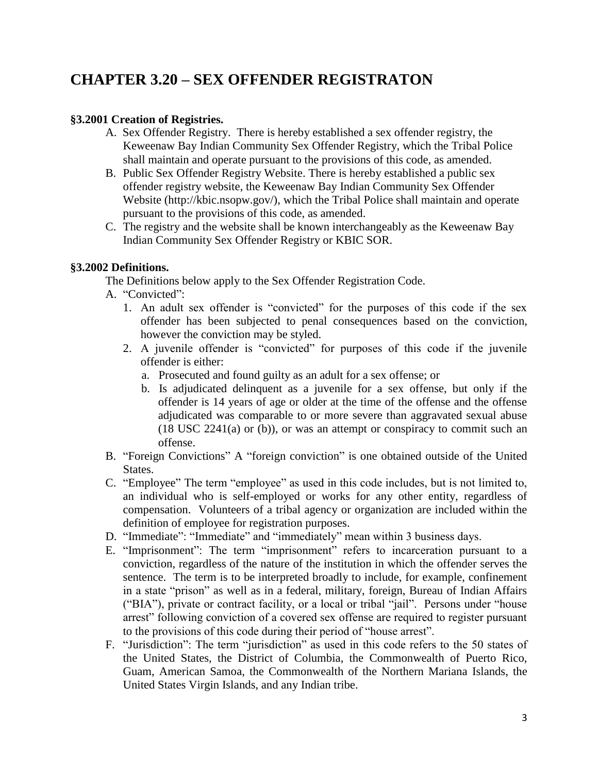# **CHAPTER 3.20 – SEX OFFENDER REGISTRATON**

## <span id="page-2-0"></span>**§3.2001 Creation of Registries.**

- A. Sex Offender Registry. There is hereby established a sex offender registry, the Keweenaw Bay Indian Community Sex Offender Registry, which the Tribal Police shall maintain and operate pursuant to the provisions of this code, as amended.
- B. Public Sex Offender Registry Website. There is hereby established a public sex offender registry website, the Keweenaw Bay Indian Community Sex Offender Website (http://kbic.nsopw.gov/), which the Tribal Police shall maintain and operate pursuant to the provisions of this code, as amended.
- C. The registry and the website shall be known interchangeably as the Keweenaw Bay Indian Community Sex Offender Registry or KBIC SOR.

#### <span id="page-2-1"></span>**§3.2002 Definitions.**

The Definitions below apply to the Sex Offender Registration Code.

- A. "Convicted":
	- 1. An adult sex offender is "convicted" for the purposes of this code if the sex offender has been subjected to penal consequences based on the conviction, however the conviction may be styled.
	- 2. A juvenile offender is "convicted" for purposes of this code if the juvenile offender is either:
		- a. Prosecuted and found guilty as an adult for a sex offense; or
		- b. Is adjudicated delinquent as a juvenile for a sex offense, but only if the offender is 14 years of age or older at the time of the offense and the offense adjudicated was comparable to or more severe than aggravated sexual abuse (18 USC 2241(a) or (b)), or was an attempt or conspiracy to commit such an offense.
- B. "Foreign Convictions" A "foreign conviction" is one obtained outside of the United States.
- C. "Employee" The term "employee" as used in this code includes, but is not limited to, an individual who is self-employed or works for any other entity, regardless of compensation. Volunteers of a tribal agency or organization are included within the definition of employee for registration purposes.
- D. "Immediate": "Immediate" and "immediately" mean within 3 business days.
- E. "Imprisonment": The term "imprisonment" refers to incarceration pursuant to a conviction, regardless of the nature of the institution in which the offender serves the sentence. The term is to be interpreted broadly to include, for example, confinement in a state "prison" as well as in a federal, military, foreign, Bureau of Indian Affairs ("BIA"), private or contract facility, or a local or tribal "jail". Persons under "house arrest" following conviction of a covered sex offense are required to register pursuant to the provisions of this code during their period of "house arrest".
- F. "Jurisdiction": The term "jurisdiction" as used in this code refers to the 50 states of the United States, the District of Columbia, the Commonwealth of Puerto Rico, Guam, American Samoa, the Commonwealth of the Northern Mariana Islands, the United States Virgin Islands, and any Indian tribe.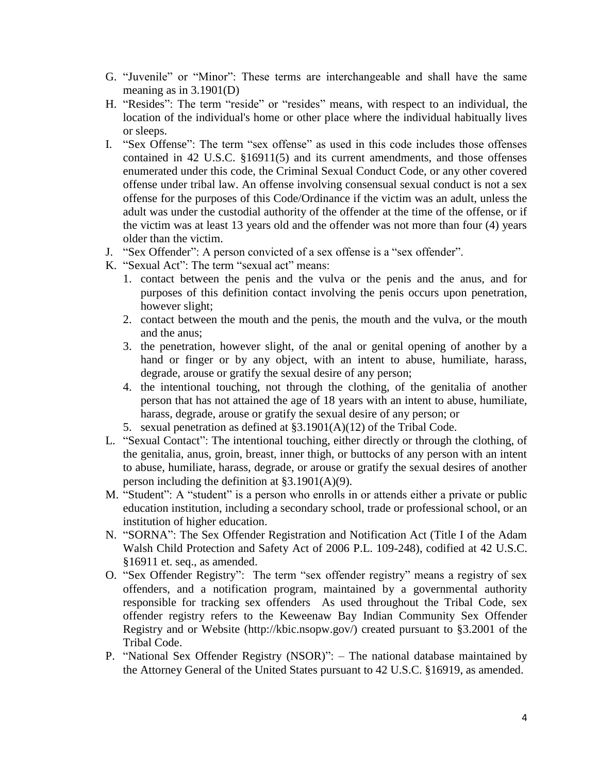- G. "Juvenile" or "Minor": These terms are interchangeable and shall have the same meaning as in  $3.1901(D)$
- H. "Resides": The term "reside" or "resides" means, with respect to an individual, the location of the individual's home or other place where the individual habitually lives or sleeps.
- I. "Sex Offense": The term "sex offense" as used in this code includes those offenses contained in 42 U.S.C. §16911(5) and its current amendments, and those offenses enumerated under this code, the Criminal Sexual Conduct Code, or any other covered offense under tribal law. An offense involving consensual sexual conduct is not a sex offense for the purposes of this Code/Ordinance if the victim was an adult, unless the adult was under the custodial authority of the offender at the time of the offense, or if the victim was at least 13 years old and the offender was not more than four (4) years older than the victim.
- J. "Sex Offender": A person convicted of a sex offense is a "sex offender".
- K. "Sexual Act": The term "sexual act" means:
	- 1. contact between the penis and the vulva or the penis and the anus, and for purposes of this definition contact involving the penis occurs upon penetration, however slight;
	- 2. contact between the mouth and the penis, the mouth and the vulva, or the mouth and the anus;
	- 3. the penetration, however slight, of the anal or genital opening of another by a hand or finger or by any object, with an intent to abuse, humiliate, harass, degrade, arouse or gratify the sexual desire of any person;
	- 4. the intentional touching, not through the clothing, of the genitalia of another person that has not attained the age of 18 years with an intent to abuse, humiliate, harass, degrade, arouse or gratify the sexual desire of any person; or
	- 5. sexual penetration as defined at §3.1901(A)(12) of the Tribal Code.
- L. "Sexual Contact": The intentional touching, either directly or through the clothing, of the genitalia, anus, groin, breast, inner thigh, or buttocks of any person with an intent to abuse, humiliate, harass, degrade, or arouse or gratify the sexual desires of another person including the definition at §3.1901(A)(9).
- M. "Student": A "student" is a person who enrolls in or attends either a private or public education institution, including a secondary school, trade or professional school, or an institution of higher education.
- N. "SORNA": The Sex Offender Registration and Notification Act (Title I of the Adam Walsh Child Protection and Safety Act of 2006 P.L. 109-248), codified at 42 U.S.C. §16911 et. seq., as amended.
- O. "Sex Offender Registry": The term "sex offender registry" means a registry of sex offenders, and a notification program, maintained by a governmental authority responsible for tracking sex offenders As used throughout the Tribal Code, sex offender registry refers to the Keweenaw Bay Indian Community Sex Offender Registry and or Website (http://kbic.nsopw.gov/) created pursuant to §3.2001 of the Tribal Code.
- P. "National Sex Offender Registry (NSOR)": The national database maintained by the Attorney General of the United States pursuant to 42 U.S.C. §16919, as amended.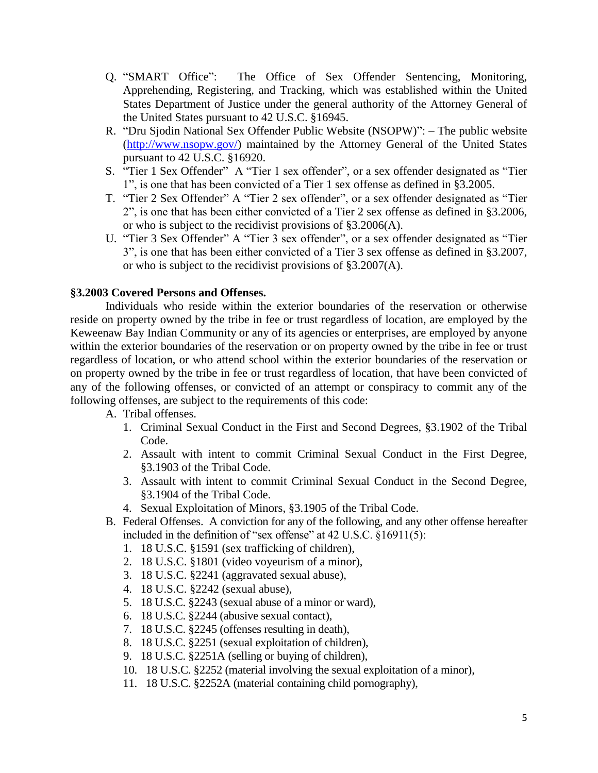- Q. "SMART Office": The Office of Sex Offender Sentencing, Monitoring, Apprehending, Registering, and Tracking, which was established within the United States Department of Justice under the general authority of the Attorney General of the United States pursuant to 42 U.S.C. §16945.
- R. "Dru Sjodin National Sex Offender Public Website (NSOPW)": The public website [\(http://www.nsopw.gov/\)](http://www.nsopw.gov/) maintained by the Attorney General of the United States pursuant to 42 U.S.C. §16920.
- S. "Tier 1 Sex Offender" A "Tier 1 sex offender", or a sex offender designated as "Tier 1", is one that has been convicted of a Tier 1 sex offense as defined in §3.2005.
- T. "Tier 2 Sex Offender" A "Tier 2 sex offender", or a sex offender designated as "Tier 2", is one that has been either convicted of a Tier 2 sex offense as defined in §3.2006, or who is subject to the recidivist provisions of §3.2006(A).
- U. "Tier 3 Sex Offender" A "Tier 3 sex offender", or a sex offender designated as "Tier 3", is one that has been either convicted of a Tier 3 sex offense as defined in §3.2007, or who is subject to the recidivist provisions of §3.2007(A).

#### <span id="page-4-0"></span>**§3.2003 Covered Persons and Offenses.**

Individuals who reside within the exterior boundaries of the reservation or otherwise reside on property owned by the tribe in fee or trust regardless of location, are employed by the Keweenaw Bay Indian Community or any of its agencies or enterprises, are employed by anyone within the exterior boundaries of the reservation or on property owned by the tribe in fee or trust regardless of location, or who attend school within the exterior boundaries of the reservation or on property owned by the tribe in fee or trust regardless of location, that have been convicted of any of the following offenses, or convicted of an attempt or conspiracy to commit any of the following offenses, are subject to the requirements of this code:

A. Tribal offenses.

- 1. Criminal Sexual Conduct in the First and Second Degrees, §3.1902 of the Tribal Code.
- 2. Assault with intent to commit Criminal Sexual Conduct in the First Degree, §3.1903 of the Tribal Code.
- 3. Assault with intent to commit Criminal Sexual Conduct in the Second Degree, §3.1904 of the Tribal Code.
- 4. Sexual Exploitation of Minors, §3.1905 of the Tribal Code.
- B. Federal Offenses. A conviction for any of the following, and any other offense hereafter included in the definition of "sex offense" at 42 U.S.C. §16911(5):
	- 1. 18 U.S.C. §1591 (sex trafficking of children),
	- 2. 18 U.S.C. §1801 (video voyeurism of a minor),
	- 3. 18 U.S.C. §2241 (aggravated sexual abuse),
	- 4. 18 U.S.C. §2242 (sexual abuse),
	- 5. 18 U.S.C. §2243 (sexual abuse of a minor or ward),
	- 6. 18 U.S.C. §2244 (abusive sexual contact),
	- 7. 18 U.S.C. §2245 (offenses resulting in death),
	- 8. 18 U.S.C. §2251 (sexual exploitation of children),
	- 9. 18 U.S.C. §2251A (selling or buying of children),
	- 10. 18 U.S.C. §2252 (material involving the sexual exploitation of a minor),
	- 11. 18 U.S.C. §2252A (material containing child pornography),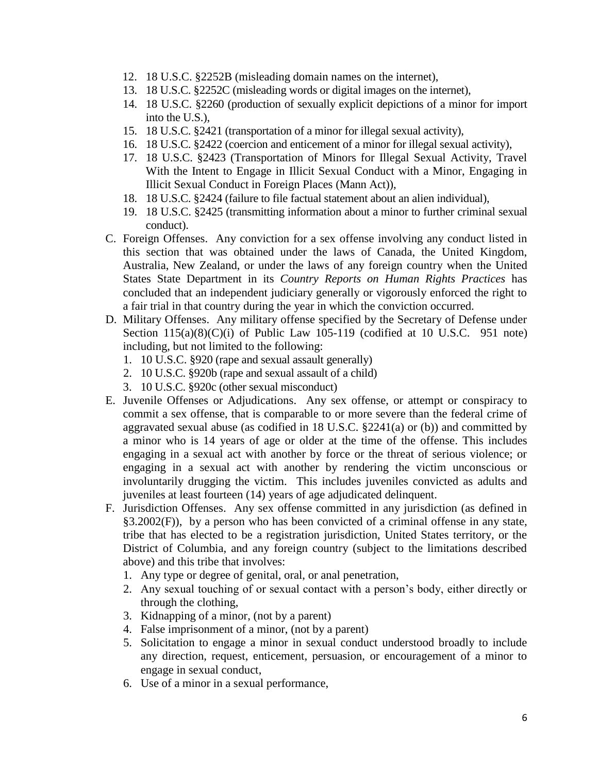- 12. 18 U.S.C. §2252B (misleading domain names on the internet),
- 13. 18 U.S.C. §2252C (misleading words or digital images on the internet),
- 14. 18 U.S.C. §2260 (production of sexually explicit depictions of a minor for import into the U.S.),
- 15. 18 U.S.C. §2421 (transportation of a minor for illegal sexual activity),
- 16. 18 U.S.C. §2422 (coercion and enticement of a minor for illegal sexual activity),
- 17. 18 U.S.C. §2423 (Transportation of Minors for Illegal Sexual Activity, Travel With the Intent to Engage in Illicit Sexual Conduct with a Minor, Engaging in Illicit Sexual Conduct in Foreign Places (Mann Act)),
- 18. 18 U.S.C. §2424 (failure to file factual statement about an alien individual),
- 19. 18 U.S.C. §2425 (transmitting information about a minor to further criminal sexual conduct).
- C. Foreign Offenses. Any conviction for a sex offense involving any conduct listed in this section that was obtained under the laws of Canada, the United Kingdom, Australia, New Zealand, or under the laws of any foreign country when the United States State Department in its *Country Reports on Human Rights Practices* has concluded that an independent judiciary generally or vigorously enforced the right to a fair trial in that country during the year in which the conviction occurred.
- D. Military Offenses. Any military offense specified by the Secretary of Defense under Section  $115(a)(8)(C)(i)$  of Public Law 105-119 (codified at 10 U.S.C. 951 note) including, but not limited to the following:
	- 1. 10 U.S.C. §920 (rape and sexual assault generally)
	- 2. 10 U.S.C. §920b (rape and sexual assault of a child)
	- 3. 10 U.S.C. §920c (other sexual misconduct)
- E. Juvenile Offenses or Adjudications. Any sex offense, or attempt or conspiracy to commit a sex offense, that is comparable to or more severe than the federal crime of aggravated sexual abuse (as codified in 18 U.S.C. §2241(a) or (b)) and committed by a minor who is 14 years of age or older at the time of the offense. This includes engaging in a sexual act with another by force or the threat of serious violence; or engaging in a sexual act with another by rendering the victim unconscious or involuntarily drugging the victim. This includes juveniles convicted as adults and juveniles at least fourteen (14) years of age adjudicated delinquent.
- F. Jurisdiction Offenses. Any sex offense committed in any jurisdiction (as defined in §3.2002(F)), by a person who has been convicted of a criminal offense in any state, tribe that has elected to be a registration jurisdiction, United States territory, or the District of Columbia, and any foreign country (subject to the limitations described above) and this tribe that involves:
	- 1. Any type or degree of genital, oral, or anal penetration,
	- 2. Any sexual touching of or sexual contact with a person's body, either directly or through the clothing,
	- 3. Kidnapping of a minor, (not by a parent)
	- 4. False imprisonment of a minor, (not by a parent)
	- 5. Solicitation to engage a minor in sexual conduct understood broadly to include any direction, request, enticement, persuasion, or encouragement of a minor to engage in sexual conduct,
	- 6. Use of a minor in a sexual performance,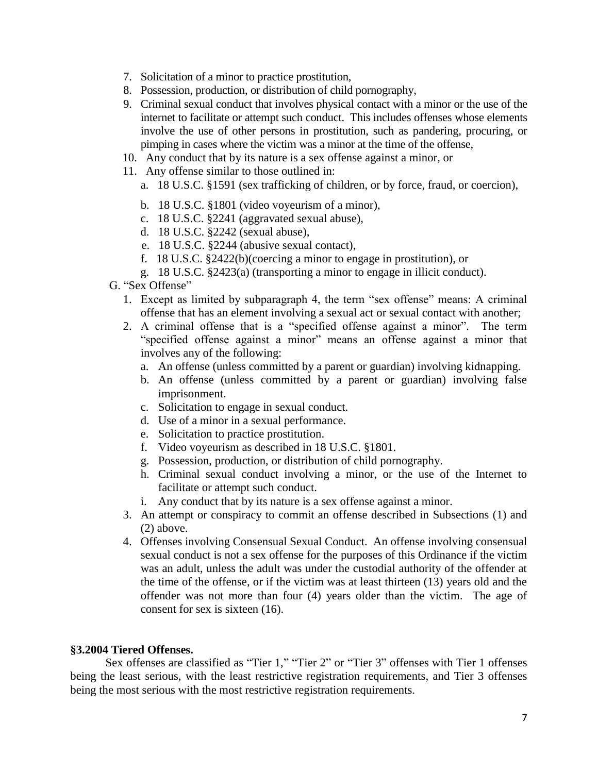- 7. Solicitation of a minor to practice prostitution,
- 8. Possession, production, or distribution of child pornography,
- 9. Criminal sexual conduct that involves physical contact with a minor or the use of the internet to facilitate or attempt such conduct. This includes offenses whose elements involve the use of other persons in prostitution, such as pandering, procuring, or pimping in cases where the victim was a minor at the time of the offense,
- 10. Any conduct that by its nature is a sex offense against a minor, or
- 11. Any offense similar to those outlined in:
	- a. 18 U.S.C. §1591 (sex trafficking of children, or by force, fraud, or coercion),
	- b. 18 U.S.C. §1801 (video voyeurism of a minor),
	- c. 18 U.S.C. §2241 (aggravated sexual abuse),
	- d. 18 U.S.C. §2242 (sexual abuse),
	- e. 18 U.S.C. §2244 (abusive sexual contact),
	- f. 18 U.S.C. §2422(b)(coercing a minor to engage in prostitution), or
	- g. 18 U.S.C. §2423(a) (transporting a minor to engage in illicit conduct).
- G. "Sex Offense"
	- 1. Except as limited by subparagraph 4, the term "sex offense" means: A criminal offense that has an element involving a sexual act or sexual contact with another;
	- 2. A criminal offense that is a "specified offense against a minor". The term "specified offense against a minor" means an offense against a minor that involves any of the following:
		- a. An offense (unless committed by a parent or guardian) involving kidnapping.
		- b. An offense (unless committed by a parent or guardian) involving false imprisonment.
		- c. Solicitation to engage in sexual conduct.
		- d. Use of a minor in a sexual performance.
		- e. Solicitation to practice prostitution.
		- f. Video voyeurism as described in 18 U.S.C. §1801.
		- g. Possession, production, or distribution of child pornography.
		- h. Criminal sexual conduct involving a minor, or the use of the Internet to facilitate or attempt such conduct.
		- i. Any conduct that by its nature is a sex offense against a minor.
	- 3. An attempt or conspiracy to commit an offense described in Subsections (1) and (2) above.
	- 4. Offenses involving Consensual Sexual Conduct. An offense involving consensual sexual conduct is not a sex offense for the purposes of this Ordinance if the victim was an adult, unless the adult was under the custodial authority of the offender at the time of the offense, or if the victim was at least thirteen (13) years old and the offender was not more than four (4) years older than the victim. The age of consent for sex is sixteen (16).

### <span id="page-6-0"></span>**§3.2004 Tiered Offenses.**

Sex offenses are classified as "Tier 1," "Tier 2" or "Tier 3" offenses with Tier 1 offenses being the least serious, with the least restrictive registration requirements, and Tier 3 offenses being the most serious with the most restrictive registration requirements.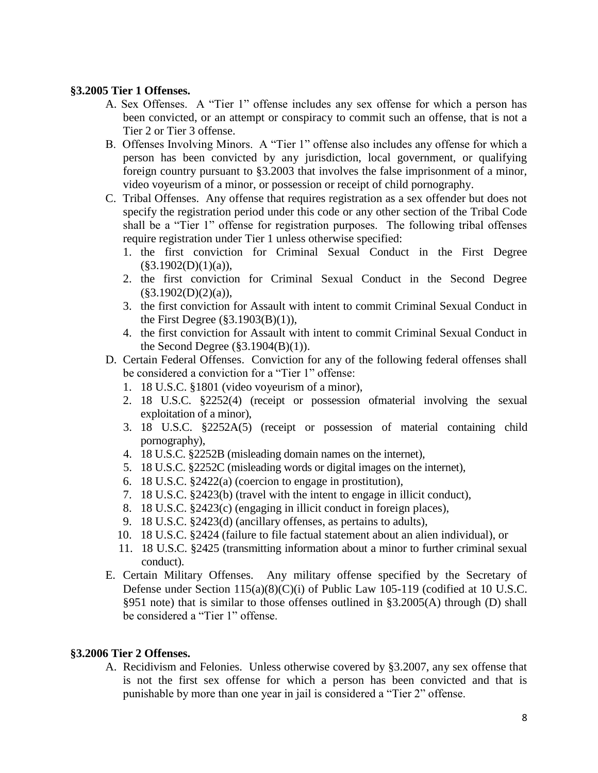#### <span id="page-7-0"></span>**§3.2005 Tier 1 Offenses.**

- A. Sex Offenses. A "Tier 1" offense includes any sex offense for which a person has been convicted, or an attempt or conspiracy to commit such an offense, that is not a Tier 2 or Tier 3 offense.
- B. Offenses Involving Minors. A "Tier 1" offense also includes any offense for which a person has been convicted by any jurisdiction, local government, or qualifying foreign country pursuant to §3.2003 that involves the false imprisonment of a minor, video voyeurism of a minor, or possession or receipt of child pornography.
- C. Tribal Offenses. Any offense that requires registration as a sex offender but does not specify the registration period under this code or any other section of the Tribal Code shall be a "Tier 1" offense for registration purposes. The following tribal offenses require registration under Tier 1 unless otherwise specified:
	- 1. the first conviction for Criminal Sexual Conduct in the First Degree  $(\S 3.1902(D)(1)(a)),$
	- 2. the first conviction for Criminal Sexual Conduct in the Second Degree  $(\$3.1902(D)(2)(a)),$
	- 3. the first conviction for Assault with intent to commit Criminal Sexual Conduct in the First Degree (§3.1903(B)(1)),
	- 4. the first conviction for Assault with intent to commit Criminal Sexual Conduct in the Second Degree  $(\S 3.1904(B)(1))$ .
- D. Certain Federal Offenses. Conviction for any of the following federal offenses shall be considered a conviction for a "Tier 1" offense:
	- 1. 18 U.S.C. §1801 (video voyeurism of a minor),
	- 2. 18 U.S.C. §2252(4) (receipt or possession ofmaterial involving the sexual exploitation of a minor),
	- 3. 18 U.S.C. §2252A(5) (receipt or possession of material containing child pornography),
	- 4. 18 U.S.C. §2252B (misleading domain names on the internet),
	- 5. 18 U.S.C. §2252C (misleading words or digital images on the internet),
	- 6. 18 U.S.C. §2422(a) (coercion to engage in prostitution),
	- 7. 18 U.S.C. §2423(b) (travel with the intent to engage in illicit conduct),
	- 8. 18 U.S.C. §2423(c) (engaging in illicit conduct in foreign places),
	- 9. 18 U.S.C. §2423(d) (ancillary offenses, as pertains to adults),
	- 10. 18 U.S.C. §2424 (failure to file factual statement about an alien individual), or
	- 11. 18 U.S.C. §2425 (transmitting information about a minor to further criminal sexual conduct).
- E. Certain Military Offenses. Any military offense specified by the Secretary of Defense under Section 115(a)(8)(C)(i) of Public Law 105-119 (codified at 10 U.S.C. §951 note) that is similar to those offenses outlined in §3.2005(A) through (D) shall be considered a "Tier 1" offense.

#### <span id="page-7-1"></span>**§3.2006 Tier 2 Offenses.**

A. Recidivism and Felonies. Unless otherwise covered by §3.2007, any sex offense that is not the first sex offense for which a person has been convicted and that is punishable by more than one year in jail is considered a "Tier 2" offense.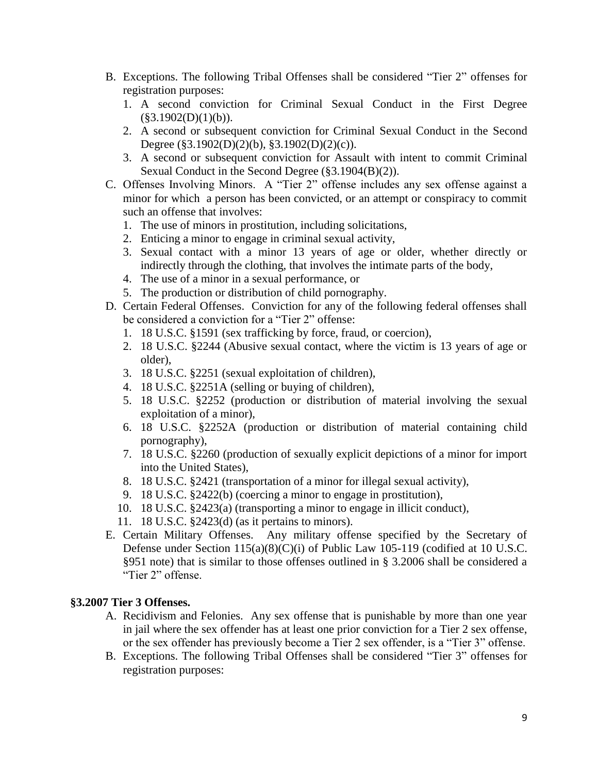- B. Exceptions. The following Tribal Offenses shall be considered "Tier 2" offenses for registration purposes:
	- 1. A second conviction for Criminal Sexual Conduct in the First Degree  $(\S 3.1902(D)(1)(b)).$
	- 2. A second or subsequent conviction for Criminal Sexual Conduct in the Second Degree (§3.1902(D)(2)(b), §3.1902(D)(2)(c)).
	- 3. A second or subsequent conviction for Assault with intent to commit Criminal Sexual Conduct in the Second Degree (§3.1904(B)(2)).
- C. Offenses Involving Minors. A "Tier 2" offense includes any sex offense against a minor for which a person has been convicted, or an attempt or conspiracy to commit such an offense that involves:
	- 1. The use of minors in prostitution, including solicitations,
	- 2. Enticing a minor to engage in criminal sexual activity,
	- 3. Sexual contact with a minor 13 years of age or older, whether directly or indirectly through the clothing, that involves the intimate parts of the body,
	- 4. The use of a minor in a sexual performance, or
	- 5. The production or distribution of child pornography.
- D. Certain Federal Offenses. Conviction for any of the following federal offenses shall be considered a conviction for a "Tier 2" offense:
	- 1. 18 U.S.C. §1591 (sex trafficking by force, fraud, or coercion),
	- 2. 18 U.S.C. §2244 (Abusive sexual contact, where the victim is 13 years of age or older),
	- 3. 18 U.S.C. §2251 (sexual exploitation of children),
	- 4. 18 U.S.C. §2251A (selling or buying of children),
	- 5. 18 U.S.C. §2252 (production or distribution of material involving the sexual exploitation of a minor),
	- 6. 18 U.S.C. §2252A (production or distribution of material containing child pornography),
	- 7. 18 U.S.C. §2260 (production of sexually explicit depictions of a minor for import into the United States),
	- 8. 18 U.S.C. §2421 (transportation of a minor for illegal sexual activity),
	- 9. 18 U.S.C. §2422(b) (coercing a minor to engage in prostitution),
	- 10. 18 U.S.C. §2423(a) (transporting a minor to engage in illicit conduct),
	- 11. 18 U.S.C. §2423(d) (as it pertains to minors).
- E. Certain Military Offenses. Any military offense specified by the Secretary of Defense under Section 115(a)(8)(C)(i) of Public Law 105-119 (codified at 10 U.S.C. §951 note) that is similar to those offenses outlined in § 3.2006 shall be considered a "Tier 2" offense.

#### <span id="page-8-0"></span>**§3.2007 Tier 3 Offenses.**

- A. Recidivism and Felonies. Any sex offense that is punishable by more than one year in jail where the sex offender has at least one prior conviction for a Tier 2 sex offense, or the sex offender has previously become a Tier 2 sex offender, is a "Tier 3" offense.
- B. Exceptions. The following Tribal Offenses shall be considered "Tier 3" offenses for registration purposes: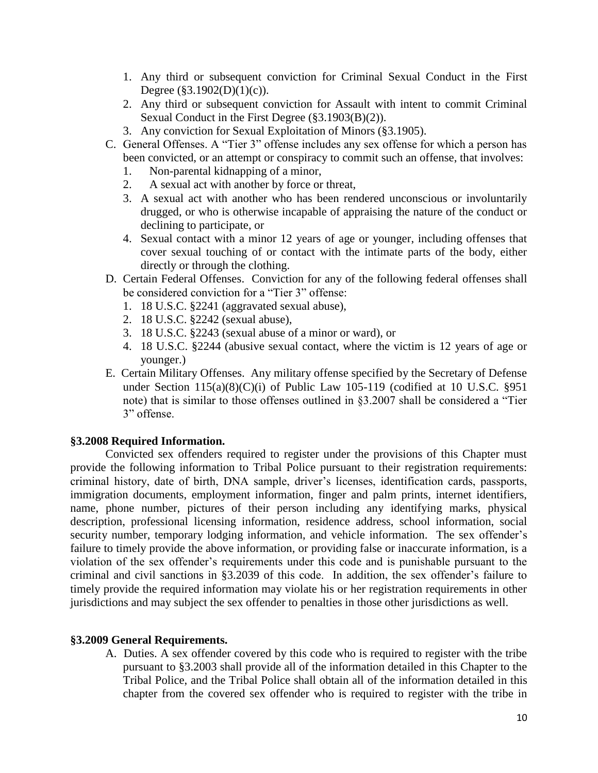- 1. Any third or subsequent conviction for Criminal Sexual Conduct in the First Degree ( $$3.1902(D)(1)(c)$ ).
- 2. Any third or subsequent conviction for Assault with intent to commit Criminal Sexual Conduct in the First Degree (§3.1903(B)(2)).
- 3. Any conviction for Sexual Exploitation of Minors (§3.1905).
- C. General Offenses. A "Tier 3" offense includes any sex offense for which a person has been convicted, or an attempt or conspiracy to commit such an offense, that involves:
	- 1. Non-parental kidnapping of a minor,
	- 2. A sexual act with another by force or threat,
	- 3. A sexual act with another who has been rendered unconscious or involuntarily drugged, or who is otherwise incapable of appraising the nature of the conduct or declining to participate, or
	- 4. Sexual contact with a minor 12 years of age or younger, including offenses that cover sexual touching of or contact with the intimate parts of the body, either directly or through the clothing.
- D. Certain Federal Offenses. Conviction for any of the following federal offenses shall be considered conviction for a "Tier 3" offense:
	- 1. 18 U.S.C. §2241 (aggravated sexual abuse),
	- 2. 18 U.S.C. §2242 (sexual abuse),
	- 3. 18 U.S.C. §2243 (sexual abuse of a minor or ward), or
	- 4. 18 U.S.C. §2244 (abusive sexual contact, where the victim is 12 years of age or younger.)
- E. Certain Military Offenses. Any military offense specified by the Secretary of Defense under Section  $115(a)(8)(C)(i)$  of Public Law 105-119 (codified at 10 U.S.C. §951 note) that is similar to those offenses outlined in §3.2007 shall be considered a "Tier 3" offense.

#### <span id="page-9-0"></span>**§3.2008 Required Information.**

Convicted sex offenders required to register under the provisions of this Chapter must provide the following information to Tribal Police pursuant to their registration requirements: criminal history, date of birth, DNA sample, driver's licenses, identification cards, passports, immigration documents, employment information, finger and palm prints, internet identifiers, name, phone number, pictures of their person including any identifying marks, physical description, professional licensing information, residence address, school information, social security number, temporary lodging information, and vehicle information. The sex offender's failure to timely provide the above information, or providing false or inaccurate information, is a violation of the sex offender's requirements under this code and is punishable pursuant to the criminal and civil sanctions in §3.2039 of this code. In addition, the sex offender's failure to timely provide the required information may violate his or her registration requirements in other jurisdictions and may subject the sex offender to penalties in those other jurisdictions as well.

#### <span id="page-9-1"></span>**§3.2009 General Requirements.**

A. Duties. A sex offender covered by this code who is required to register with the tribe pursuant to §3.2003 shall provide all of the information detailed in this Chapter to the Tribal Police, and the Tribal Police shall obtain all of the information detailed in this chapter from the covered sex offender who is required to register with the tribe in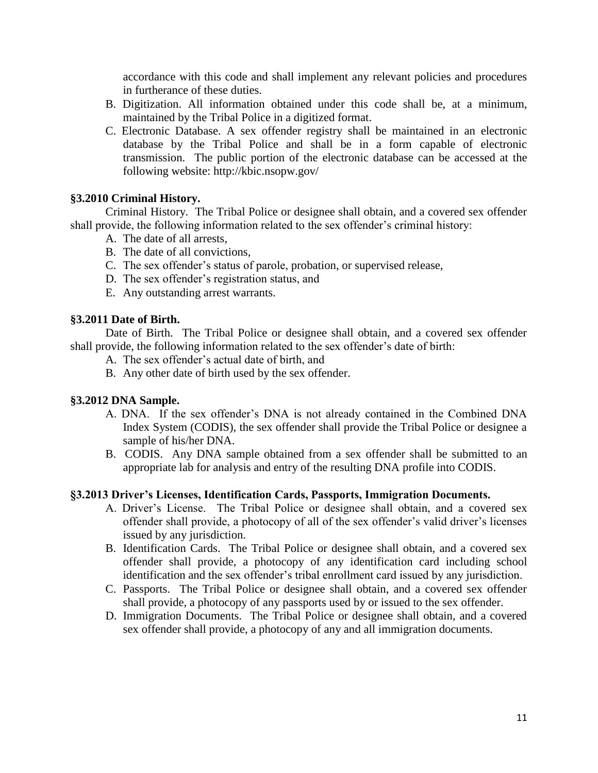accordance with this code and shall implement any relevant policies and procedures in furtherance of these duties.

- B. Digitization. All information obtained under this code shall be, at a minimum, maintained by the Tribal Police in a digitized format.
- C. Electronic Database. A sex offender registry shall be maintained in an electronic database by the Tribal Police and shall be in a form capable of electronic transmission. The public portion of the electronic database can be accessed at the following website: http://kbic.nsopw.gov/

#### <span id="page-10-0"></span>**§3.2010 Criminal History.**

Criminal History. The Tribal Police or designee shall obtain, and a covered sex offender shall provide, the following information related to the sex offender's criminal history:

- A. The date of all arrests,
- B. The date of all convictions,
- C. The sex offender's status of parole, probation, or supervised release,
- D. The sex offender's registration status, and
- E. Any outstanding arrest warrants.

#### <span id="page-10-1"></span>**§3.2011 Date of Birth.**

Date of Birth. The Tribal Police or designee shall obtain, and a covered sex offender shall provide, the following information related to the sex offender's date of birth:

- A. The sex offender's actual date of birth, and
- B. Any other date of birth used by the sex offender.

### <span id="page-10-2"></span>**§3.2012 DNA Sample.**

- A. DNA. If the sex offender's DNA is not already contained in the Combined DNA Index System (CODIS), the sex offender shall provide the Tribal Police or designee a sample of his/her DNA.
- B. CODIS. Any DNA sample obtained from a sex offender shall be submitted to an appropriate lab for analysis and entry of the resulting DNA profile into CODIS.

#### <span id="page-10-3"></span>**§3.2013 Driver's Licenses, Identification Cards, Passports, Immigration Documents.**

- A. Driver's License. The Tribal Police or designee shall obtain, and a covered sex offender shall provide, a photocopy of all of the sex offender's valid driver's licenses issued by any jurisdiction.
- B. Identification Cards. The Tribal Police or designee shall obtain, and a covered sex offender shall provide, a photocopy of any identification card including school identification and the sex offender's tribal enrollment card issued by any jurisdiction.
- C. Passports. The Tribal Police or designee shall obtain, and a covered sex offender shall provide, a photocopy of any passports used by or issued to the sex offender.
- D. Immigration Documents. The Tribal Police or designee shall obtain, and a covered sex offender shall provide, a photocopy of any and all immigration documents.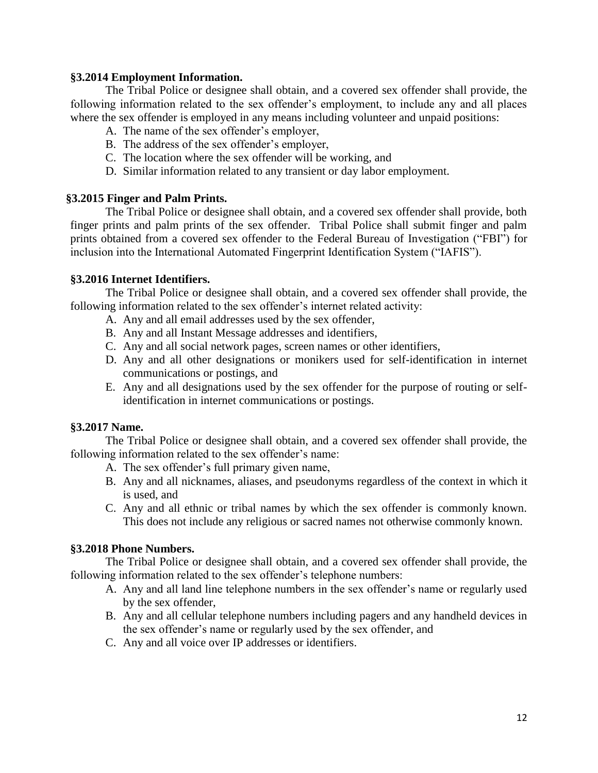#### <span id="page-11-0"></span>**§3.2014 Employment Information.**

The Tribal Police or designee shall obtain, and a covered sex offender shall provide, the following information related to the sex offender's employment, to include any and all places where the sex offender is employed in any means including volunteer and unpaid positions:

- A. The name of the sex offender's employer,
- B. The address of the sex offender's employer,
- C. The location where the sex offender will be working, and
- D. Similar information related to any transient or day labor employment.

#### <span id="page-11-1"></span>**§3.2015 Finger and Palm Prints.**

The Tribal Police or designee shall obtain, and a covered sex offender shall provide, both finger prints and palm prints of the sex offender. Tribal Police shall submit finger and palm prints obtained from a covered sex offender to the Federal Bureau of Investigation ("FBI") for inclusion into the International Automated Fingerprint Identification System ("IAFIS").

#### <span id="page-11-2"></span>**§3.2016 Internet Identifiers.**

The Tribal Police or designee shall obtain, and a covered sex offender shall provide, the following information related to the sex offender's internet related activity:

- A. Any and all email addresses used by the sex offender,
- B. Any and all Instant Message addresses and identifiers,
- C. Any and all social network pages, screen names or other identifiers,
- D. Any and all other designations or monikers used for self-identification in internet communications or postings, and
- E. Any and all designations used by the sex offender for the purpose of routing or selfidentification in internet communications or postings.

#### <span id="page-11-3"></span>**§3.2017 Name.**

The Tribal Police or designee shall obtain, and a covered sex offender shall provide, the following information related to the sex offender's name:

- A. The sex offender's full primary given name,
- B. Any and all nicknames, aliases, and pseudonyms regardless of the context in which it is used, and
- C. Any and all ethnic or tribal names by which the sex offender is commonly known. This does not include any religious or sacred names not otherwise commonly known.

#### <span id="page-11-4"></span>**§3.2018 Phone Numbers.**

The Tribal Police or designee shall obtain, and a covered sex offender shall provide, the following information related to the sex offender's telephone numbers:

- A. Any and all land line telephone numbers in the sex offender's name or regularly used by the sex offender,
- B. Any and all cellular telephone numbers including pagers and any handheld devices in the sex offender's name or regularly used by the sex offender, and
- C. Any and all voice over IP addresses or identifiers.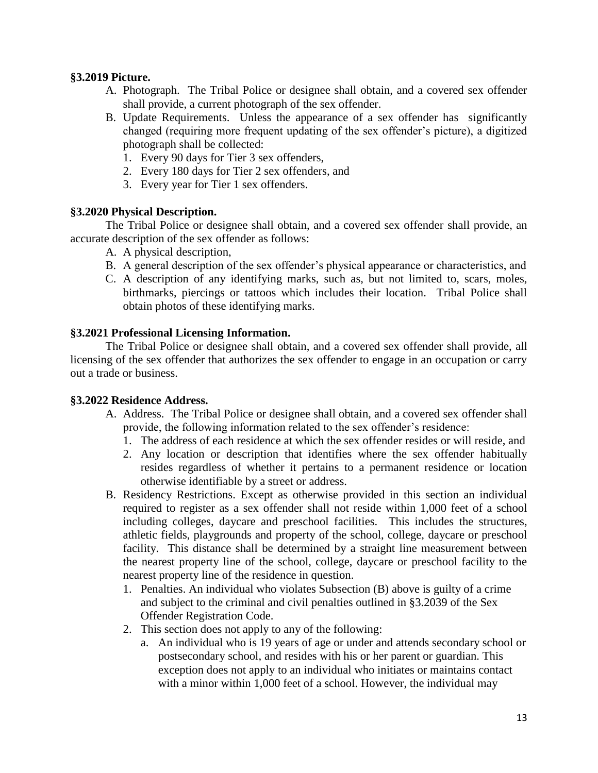#### <span id="page-12-0"></span>**§3.2019 Picture.**

- A. Photograph. The Tribal Police or designee shall obtain, and a covered sex offender shall provide, a current photograph of the sex offender.
- B. Update Requirements. Unless the appearance of a sex offender has significantly changed (requiring more frequent updating of the sex offender's picture), a digitized photograph shall be collected:
	- 1. Every 90 days for Tier 3 sex offenders,
	- 2. Every 180 days for Tier 2 sex offenders, and
	- 3. Every year for Tier 1 sex offenders.

#### <span id="page-12-1"></span>**§3.2020 Physical Description.**

The Tribal Police or designee shall obtain, and a covered sex offender shall provide, an accurate description of the sex offender as follows:

- A. A physical description,
- B. A general description of the sex offender's physical appearance or characteristics, and
- C. A description of any identifying marks, such as, but not limited to, scars, moles, birthmarks, piercings or tattoos which includes their location. Tribal Police shall obtain photos of these identifying marks.

#### <span id="page-12-2"></span>**§3.2021 Professional Licensing Information.**

The Tribal Police or designee shall obtain, and a covered sex offender shall provide, all licensing of the sex offender that authorizes the sex offender to engage in an occupation or carry out a trade or business.

#### <span id="page-12-3"></span>**§3.2022 Residence Address.**

- A. Address. The Tribal Police or designee shall obtain, and a covered sex offender shall provide, the following information related to the sex offender's residence:
	- 1. The address of each residence at which the sex offender resides or will reside, and
	- 2. Any location or description that identifies where the sex offender habitually resides regardless of whether it pertains to a permanent residence or location otherwise identifiable by a street or address.
- B. Residency Restrictions. Except as otherwise provided in this section an individual required to register as a sex offender shall not reside within 1,000 feet of a school including colleges, daycare and preschool facilities. This includes the structures, athletic fields, playgrounds and property of the school, college, daycare or preschool facility. This distance shall be determined by a straight line measurement between the nearest property line of the school, college, daycare or preschool facility to the nearest property line of the residence in question.
	- 1. Penalties. An individual who violates Subsection (B) above is guilty of a crime and subject to the criminal and civil penalties outlined in §3.2039 of the Sex Offender Registration Code.
	- 2. This section does not apply to any of the following:
		- a. An individual who is 19 years of age or under and attends secondary school or postsecondary school, and resides with his or her parent or guardian. This exception does not apply to an individual who initiates or maintains contact with a minor within 1,000 feet of a school. However, the individual may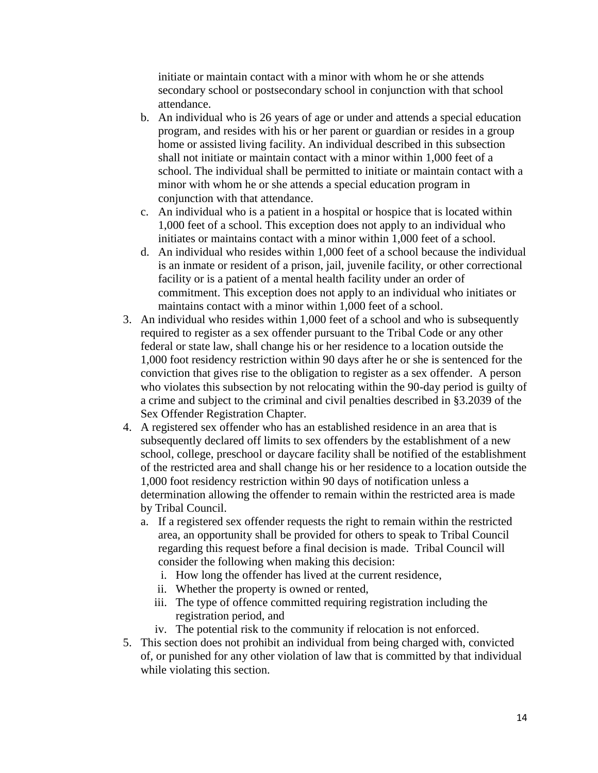initiate or maintain contact with a minor with whom he or she attends secondary school or postsecondary school in conjunction with that school attendance.

- b. An individual who is 26 years of age or under and attends a special education program, and resides with his or her parent or guardian or resides in a group home or assisted living facility. An individual described in this subsection shall not initiate or maintain contact with a minor within 1,000 feet of a school. The individual shall be permitted to initiate or maintain contact with a minor with whom he or she attends a special education program in conjunction with that attendance.
- c. An individual who is a patient in a hospital or hospice that is located within 1,000 feet of a school. This exception does not apply to an individual who initiates or maintains contact with a minor within 1,000 feet of a school.
- d. An individual who resides within 1,000 feet of a school because the individual is an inmate or resident of a prison, jail, juvenile facility, or other correctional facility or is a patient of a mental health facility under an order of commitment. This exception does not apply to an individual who initiates or maintains contact with a minor within 1,000 feet of a school.
- 3. An individual who resides within 1,000 feet of a school and who is subsequently required to register as a sex offender pursuant to the Tribal Code or any other federal or state law, shall change his or her residence to a location outside the 1,000 foot residency restriction within 90 days after he or she is sentenced for the conviction that gives rise to the obligation to register as a sex offender. A person who violates this subsection by not relocating within the 90-day period is guilty of a crime and subject to the criminal and civil penalties described in §3.2039 of the Sex Offender Registration Chapter.
- 4. A registered sex offender who has an established residence in an area that is subsequently declared off limits to sex offenders by the establishment of a new school, college, preschool or daycare facility shall be notified of the establishment of the restricted area and shall change his or her residence to a location outside the 1,000 foot residency restriction within 90 days of notification unless a determination allowing the offender to remain within the restricted area is made by Tribal Council.
	- a. If a registered sex offender requests the right to remain within the restricted area, an opportunity shall be provided for others to speak to Tribal Council regarding this request before a final decision is made. Tribal Council will consider the following when making this decision:
		- i. How long the offender has lived at the current residence,
		- ii. Whether the property is owned or rented,
		- iii. The type of offence committed requiring registration including the registration period, and
		- iv. The potential risk to the community if relocation is not enforced.
- 5. This section does not prohibit an individual from being charged with, convicted of, or punished for any other violation of law that is committed by that individual while violating this section.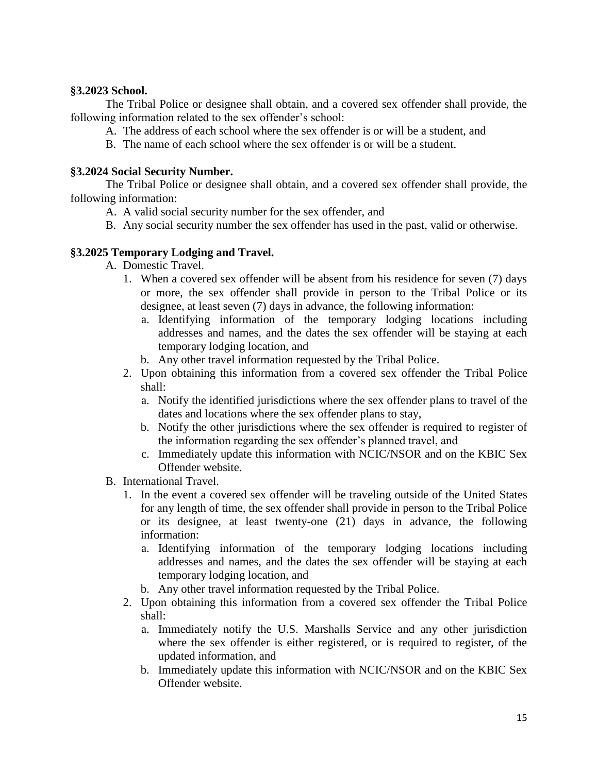#### <span id="page-14-0"></span>**§3.2023 School.**

The Tribal Police or designee shall obtain, and a covered sex offender shall provide, the following information related to the sex offender's school:

- A. The address of each school where the sex offender is or will be a student, and
- B. The name of each school where the sex offender is or will be a student.

#### <span id="page-14-1"></span>**§3.2024 Social Security Number.**

The Tribal Police or designee shall obtain, and a covered sex offender shall provide, the following information:

- A. A valid social security number for the sex offender, and
- B. Any social security number the sex offender has used in the past, valid or otherwise.

### <span id="page-14-2"></span>**§3.2025 Temporary Lodging and Travel.**

- A. Domestic Travel.
	- 1. When a covered sex offender will be absent from his residence for seven (7) days or more, the sex offender shall provide in person to the Tribal Police or its designee, at least seven (7) days in advance, the following information:
		- a. Identifying information of the temporary lodging locations including addresses and names, and the dates the sex offender will be staying at each temporary lodging location, and
		- b. Any other travel information requested by the Tribal Police.
	- 2. Upon obtaining this information from a covered sex offender the Tribal Police shall:
		- a. Notify the identified jurisdictions where the sex offender plans to travel of the dates and locations where the sex offender plans to stay,
		- b. Notify the other jurisdictions where the sex offender is required to register of the information regarding the sex offender's planned travel, and
		- c. Immediately update this information with NCIC/NSOR and on the KBIC Sex Offender website.
- B. International Travel.
	- 1. In the event a covered sex offender will be traveling outside of the United States for any length of time, the sex offender shall provide in person to the Tribal Police or its designee, at least twenty-one (21) days in advance, the following information:
		- a. Identifying information of the temporary lodging locations including addresses and names, and the dates the sex offender will be staying at each temporary lodging location, and
		- b. Any other travel information requested by the Tribal Police.
	- 2. Upon obtaining this information from a covered sex offender the Tribal Police shall:
		- a. Immediately notify the U.S. Marshalls Service and any other jurisdiction where the sex offender is either registered, or is required to register, of the updated information, and
		- b. Immediately update this information with NCIC/NSOR and on the KBIC Sex Offender website.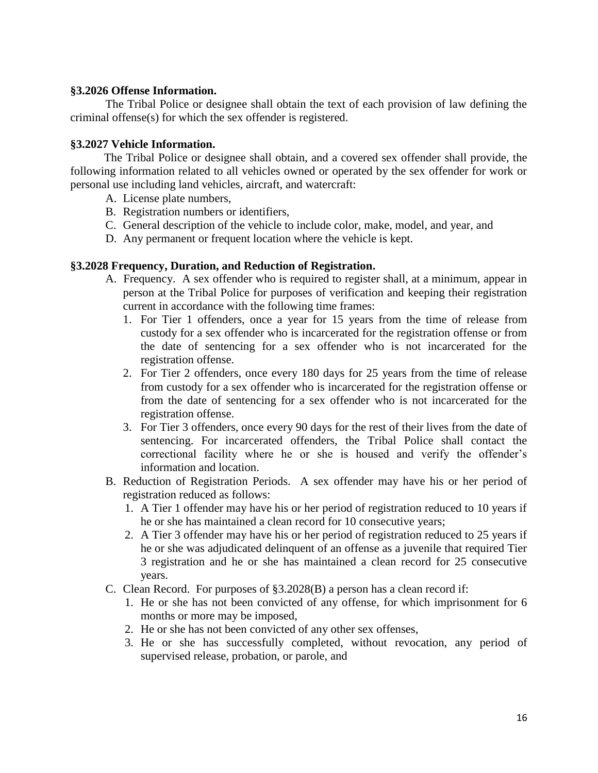#### <span id="page-15-0"></span>**§3.2026 Offense Information.**

The Tribal Police or designee shall obtain the text of each provision of law defining the criminal offense(s) for which the sex offender is registered.

#### <span id="page-15-1"></span>**§3.2027 Vehicle Information.**

 The Tribal Police or designee shall obtain, and a covered sex offender shall provide, the following information related to all vehicles owned or operated by the sex offender for work or personal use including land vehicles, aircraft, and watercraft:

- A. License plate numbers,
- B. Registration numbers or identifiers,
- C. General description of the vehicle to include color, make, model, and year, and
- D. Any permanent or frequent location where the vehicle is kept.

#### <span id="page-15-2"></span>**§3.2028 Frequency, Duration, and Reduction of Registration.**

- A. Frequency. A sex offender who is required to register shall, at a minimum, appear in person at the Tribal Police for purposes of verification and keeping their registration current in accordance with the following time frames:
	- 1. For Tier 1 offenders, once a year for 15 years from the time of release from custody for a sex offender who is incarcerated for the registration offense or from the date of sentencing for a sex offender who is not incarcerated for the registration offense.
	- 2. For Tier 2 offenders, once every 180 days for 25 years from the time of release from custody for a sex offender who is incarcerated for the registration offense or from the date of sentencing for a sex offender who is not incarcerated for the registration offense.
	- 3. For Tier 3 offenders, once every 90 days for the rest of their lives from the date of sentencing. For incarcerated offenders, the Tribal Police shall contact the correctional facility where he or she is housed and verify the offender's information and location.
- B. Reduction of Registration Periods. A sex offender may have his or her period of registration reduced as follows:
	- 1. A Tier 1 offender may have his or her period of registration reduced to 10 years if he or she has maintained a clean record for 10 consecutive years;
	- 2. A Tier 3 offender may have his or her period of registration reduced to 25 years if he or she was adjudicated delinquent of an offense as a juvenile that required Tier 3 registration and he or she has maintained a clean record for 25 consecutive years.
- C. Clean Record. For purposes of §3.2028(B) a person has a clean record if:
	- 1. He or she has not been convicted of any offense, for which imprisonment for 6 months or more may be imposed,
	- 2. He or she has not been convicted of any other sex offenses,
	- 3. He or she has successfully completed, without revocation, any period of supervised release, probation, or parole, and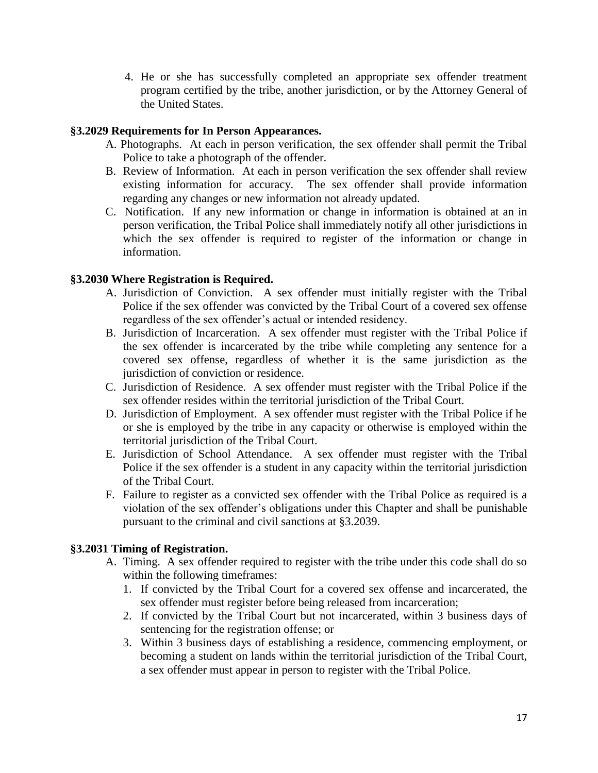4. He or she has successfully completed an appropriate sex offender treatment program certified by the tribe, another jurisdiction, or by the Attorney General of the United States.

### <span id="page-16-0"></span>**§3.2029 Requirements for In Person Appearances.**

- A. Photographs. At each in person verification, the sex offender shall permit the Tribal Police to take a photograph of the offender.
- B. Review of Information. At each in person verification the sex offender shall review existing information for accuracy. The sex offender shall provide information regarding any changes or new information not already updated.
- C. Notification. If any new information or change in information is obtained at an in person verification, the Tribal Police shall immediately notify all other jurisdictions in which the sex offender is required to register of the information or change in information.

## <span id="page-16-1"></span>**§3.2030 Where Registration is Required.**

- A. Jurisdiction of Conviction. A sex offender must initially register with the Tribal Police if the sex offender was convicted by the Tribal Court of a covered sex offense regardless of the sex offender's actual or intended residency.
- B. Jurisdiction of Incarceration. A sex offender must register with the Tribal Police if the sex offender is incarcerated by the tribe while completing any sentence for a covered sex offense, regardless of whether it is the same jurisdiction as the jurisdiction of conviction or residence.
- C. Jurisdiction of Residence. A sex offender must register with the Tribal Police if the sex offender resides within the territorial jurisdiction of the Tribal Court.
- D. Jurisdiction of Employment. A sex offender must register with the Tribal Police if he or she is employed by the tribe in any capacity or otherwise is employed within the territorial jurisdiction of the Tribal Court.
- E. Jurisdiction of School Attendance. A sex offender must register with the Tribal Police if the sex offender is a student in any capacity within the territorial jurisdiction of the Tribal Court.
- F. Failure to register as a convicted sex offender with the Tribal Police as required is a violation of the sex offender's obligations under this Chapter and shall be punishable pursuant to the criminal and civil sanctions at §3.2039.

## <span id="page-16-2"></span>**§3.2031 Timing of Registration.**

- A. Timing. A sex offender required to register with the tribe under this code shall do so within the following timeframes:
	- 1. If convicted by the Tribal Court for a covered sex offense and incarcerated, the sex offender must register before being released from incarceration;
	- 2. If convicted by the Tribal Court but not incarcerated, within 3 business days of sentencing for the registration offense; or
	- 3. Within 3 business days of establishing a residence, commencing employment, or becoming a student on lands within the territorial jurisdiction of the Tribal Court, a sex offender must appear in person to register with the Tribal Police.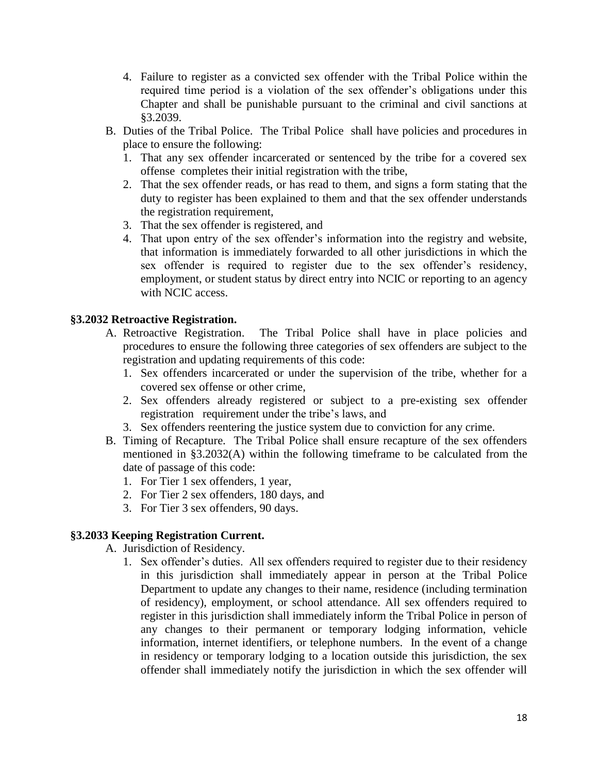- 4. Failure to register as a convicted sex offender with the Tribal Police within the required time period is a violation of the sex offender's obligations under this Chapter and shall be punishable pursuant to the criminal and civil sanctions at §3.2039.
- B. Duties of the Tribal Police. The Tribal Police shall have policies and procedures in place to ensure the following:
	- 1. That any sex offender incarcerated or sentenced by the tribe for a covered sex offense completes their initial registration with the tribe,
	- 2. That the sex offender reads, or has read to them, and signs a form stating that the duty to register has been explained to them and that the sex offender understands the registration requirement,
	- 3. That the sex offender is registered, and
	- 4. That upon entry of the sex offender's information into the registry and website, that information is immediately forwarded to all other jurisdictions in which the sex offender is required to register due to the sex offender's residency, employment, or student status by direct entry into NCIC or reporting to an agency with NCIC access.

#### <span id="page-17-0"></span>**§3.2032 Retroactive Registration.**

- A. Retroactive Registration. The Tribal Police shall have in place policies and procedures to ensure the following three categories of sex offenders are subject to the registration and updating requirements of this code:
	- 1. Sex offenders incarcerated or under the supervision of the tribe, whether for a covered sex offense or other crime,
	- 2. Sex offenders already registered or subject to a pre-existing sex offender registration requirement under the tribe's laws, and
	- 3. Sex offenders reentering the justice system due to conviction for any crime.
- B. Timing of Recapture. The Tribal Police shall ensure recapture of the sex offenders mentioned in §3.2032(A) within the following timeframe to be calculated from the date of passage of this code:
	- 1. For Tier 1 sex offenders, 1 year,
	- 2. For Tier 2 sex offenders, 180 days, and
	- 3. For Tier 3 sex offenders, 90 days.

### <span id="page-17-1"></span>**§3.2033 Keeping Registration Current.**

A. Jurisdiction of Residency.

1. Sex offender's duties. All sex offenders required to register due to their residency in this jurisdiction shall immediately appear in person at the Tribal Police Department to update any changes to their name, residence (including termination of residency), employment, or school attendance. All sex offenders required to register in this jurisdiction shall immediately inform the Tribal Police in person of any changes to their permanent or temporary lodging information, vehicle information, internet identifiers, or telephone numbers. In the event of a change in residency or temporary lodging to a location outside this jurisdiction, the sex offender shall immediately notify the jurisdiction in which the sex offender will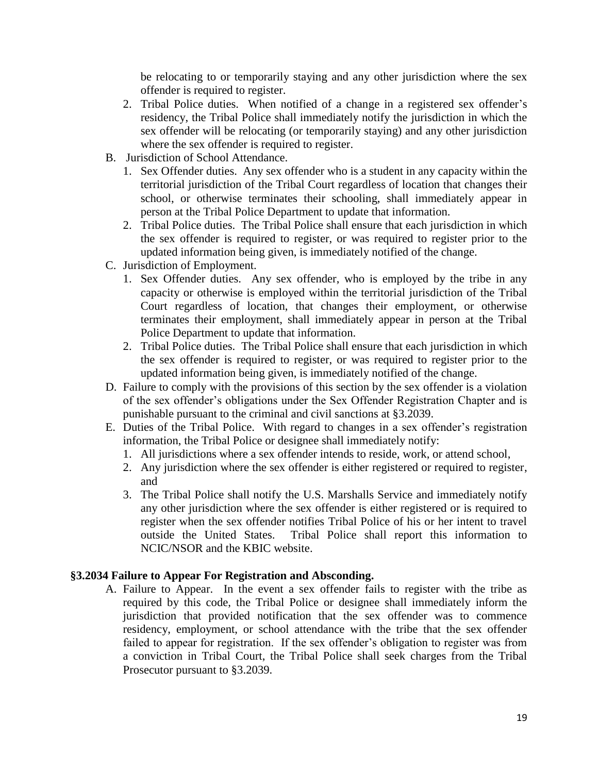be relocating to or temporarily staying and any other jurisdiction where the sex offender is required to register.

- 2. Tribal Police duties. When notified of a change in a registered sex offender's residency, the Tribal Police shall immediately notify the jurisdiction in which the sex offender will be relocating (or temporarily staying) and any other jurisdiction where the sex offender is required to register.
- B. Jurisdiction of School Attendance.
	- 1. Sex Offender duties. Any sex offender who is a student in any capacity within the territorial jurisdiction of the Tribal Court regardless of location that changes their school, or otherwise terminates their schooling, shall immediately appear in person at the Tribal Police Department to update that information.
	- 2. Tribal Police duties. The Tribal Police shall ensure that each jurisdiction in which the sex offender is required to register, or was required to register prior to the updated information being given, is immediately notified of the change.
- C. Jurisdiction of Employment.
	- 1. Sex Offender duties. Any sex offender, who is employed by the tribe in any capacity or otherwise is employed within the territorial jurisdiction of the Tribal Court regardless of location, that changes their employment, or otherwise terminates their employment, shall immediately appear in person at the Tribal Police Department to update that information.
	- 2. Tribal Police duties. The Tribal Police shall ensure that each jurisdiction in which the sex offender is required to register, or was required to register prior to the updated information being given, is immediately notified of the change.
- D. Failure to comply with the provisions of this section by the sex offender is a violation of the sex offender's obligations under the Sex Offender Registration Chapter and is punishable pursuant to the criminal and civil sanctions at §3.2039.
- E. Duties of the Tribal Police. With regard to changes in a sex offender's registration information, the Tribal Police or designee shall immediately notify:
	- 1. All jurisdictions where a sex offender intends to reside, work, or attend school,
	- 2. Any jurisdiction where the sex offender is either registered or required to register, and
	- 3. The Tribal Police shall notify the U.S. Marshalls Service and immediately notify any other jurisdiction where the sex offender is either registered or is required to register when the sex offender notifies Tribal Police of his or her intent to travel outside the United States. Tribal Police shall report this information to NCIC/NSOR and the KBIC website.

#### <span id="page-18-0"></span>**§3.2034 Failure to Appear For Registration and Absconding.**

A. Failure to Appear. In the event a sex offender fails to register with the tribe as required by this code, the Tribal Police or designee shall immediately inform the jurisdiction that provided notification that the sex offender was to commence residency, employment, or school attendance with the tribe that the sex offender failed to appear for registration. If the sex offender's obligation to register was from a conviction in Tribal Court, the Tribal Police shall seek charges from the Tribal Prosecutor pursuant to §3.2039.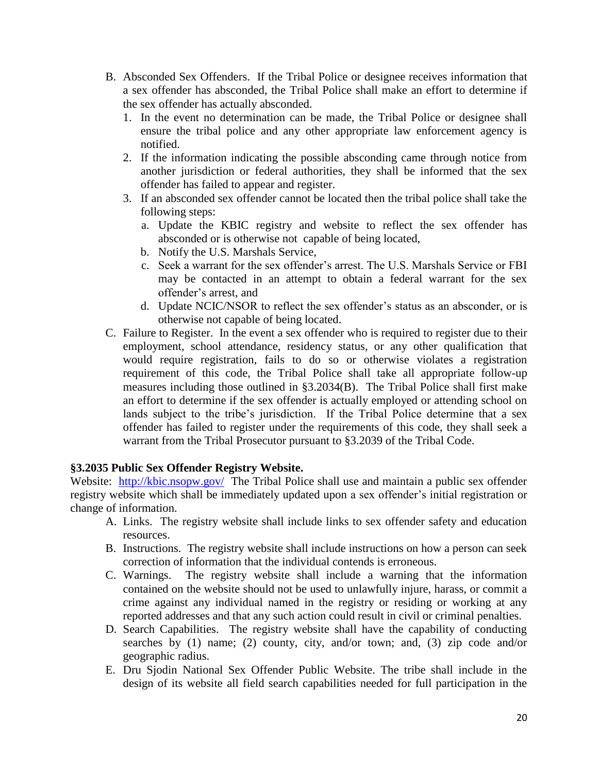- B. Absconded Sex Offenders. If the Tribal Police or designee receives information that a sex offender has absconded, the Tribal Police shall make an effort to determine if the sex offender has actually absconded.
	- 1. In the event no determination can be made, the Tribal Police or designee shall ensure the tribal police and any other appropriate law enforcement agency is notified.
	- 2. If the information indicating the possible absconding came through notice from another jurisdiction or federal authorities, they shall be informed that the sex offender has failed to appear and register.
	- 3. If an absconded sex offender cannot be located then the tribal police shall take the following steps:
		- a. Update the KBIC registry and website to reflect the sex offender has absconded or is otherwise not capable of being located,
		- b. Notify the U.S. Marshals Service,
		- c. Seek a warrant for the sex offender's arrest. The U.S. Marshals Service or FBI may be contacted in an attempt to obtain a federal warrant for the sex offender's arrest, and
		- d. Update NCIC/NSOR to reflect the sex offender's status as an absconder, or is otherwise not capable of being located.
- C. Failure to Register. In the event a sex offender who is required to register due to their employment, school attendance, residency status, or any other qualification that would require registration, fails to do so or otherwise violates a registration requirement of this code, the Tribal Police shall take all appropriate follow-up measures including those outlined in §3.2034(B). The Tribal Police shall first make an effort to determine if the sex offender is actually employed or attending school on lands subject to the tribe's jurisdiction. If the Tribal Police determine that a sex offender has failed to register under the requirements of this code, they shall seek a warrant from the Tribal Prosecutor pursuant to §3.2039 of the Tribal Code.

#### <span id="page-19-0"></span>**§3.2035 Public Sex Offender Registry Website.**

Website: <http://kbic.nsopw.gov/>The Tribal Police shall use and maintain a public sex offender registry website which shall be immediately updated upon a sex offender's initial registration or change of information.

- A. Links. The registry website shall include links to sex offender safety and education resources.
- B. Instructions. The registry website shall include instructions on how a person can seek correction of information that the individual contends is erroneous.
- C. Warnings. The registry website shall include a warning that the information contained on the website should not be used to unlawfully injure, harass, or commit a crime against any individual named in the registry or residing or working at any reported addresses and that any such action could result in civil or criminal penalties.
- D. Search Capabilities. The registry website shall have the capability of conducting searches by (1) name; (2) county, city, and/or town; and, (3) zip code and/or geographic radius.
- E. Dru Sjodin National Sex Offender Public Website. The tribe shall include in the design of its website all field search capabilities needed for full participation in the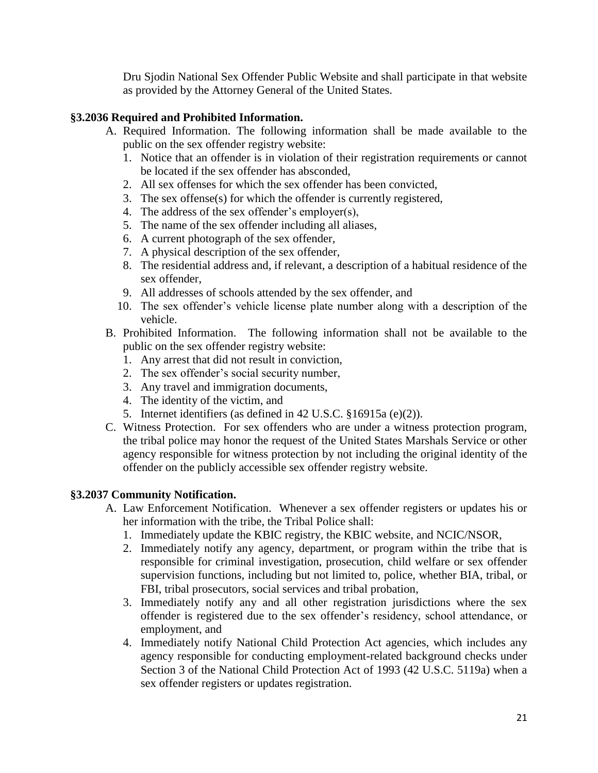Dru Sjodin National Sex Offender Public Website and shall participate in that website as provided by the Attorney General of the United States.

### <span id="page-20-0"></span>**§3.2036 Required and Prohibited Information.**

- A. Required Information. The following information shall be made available to the public on the sex offender registry website:
	- 1. Notice that an offender is in violation of their registration requirements or cannot be located if the sex offender has absconded,
	- 2. All sex offenses for which the sex offender has been convicted,
	- 3. The sex offense(s) for which the offender is currently registered,
	- 4. The address of the sex offender's employer(s),
	- 5. The name of the sex offender including all aliases,
	- 6. A current photograph of the sex offender,
	- 7. A physical description of the sex offender,
	- 8. The residential address and, if relevant, a description of a habitual residence of the sex offender,
	- 9. All addresses of schools attended by the sex offender, and
	- 10. The sex offender's vehicle license plate number along with a description of the vehicle.
- B. Prohibited Information. The following information shall not be available to the public on the sex offender registry website:
	- 1. Any arrest that did not result in conviction,
	- 2. The sex offender's social security number,
	- 3. Any travel and immigration documents,
	- 4. The identity of the victim, and
	- 5. Internet identifiers (as defined in 42 U.S.C. §16915a (e)(2)).
- C. Witness Protection. For sex offenders who are under a witness protection program, the tribal police may honor the request of the United States Marshals Service or other agency responsible for witness protection by not including the original identity of the offender on the publicly accessible sex offender registry website.

#### <span id="page-20-1"></span>**§3.2037 Community Notification.**

- A. Law Enforcement Notification. Whenever a sex offender registers or updates his or her information with the tribe, the Tribal Police shall:
	- 1. Immediately update the KBIC registry, the KBIC website, and NCIC/NSOR,
	- 2. Immediately notify any agency, department, or program within the tribe that is responsible for criminal investigation, prosecution, child welfare or sex offender supervision functions, including but not limited to, police, whether BIA, tribal, or FBI, tribal prosecutors, social services and tribal probation,
	- 3. Immediately notify any and all other registration jurisdictions where the sex offender is registered due to the sex offender's residency, school attendance, or employment, and
	- 4. Immediately notify National Child Protection Act agencies, which includes any agency responsible for conducting employment-related background checks under Section 3 of the National Child Protection Act of 1993 (42 U.S.C. 5119a) when a sex offender registers or updates registration.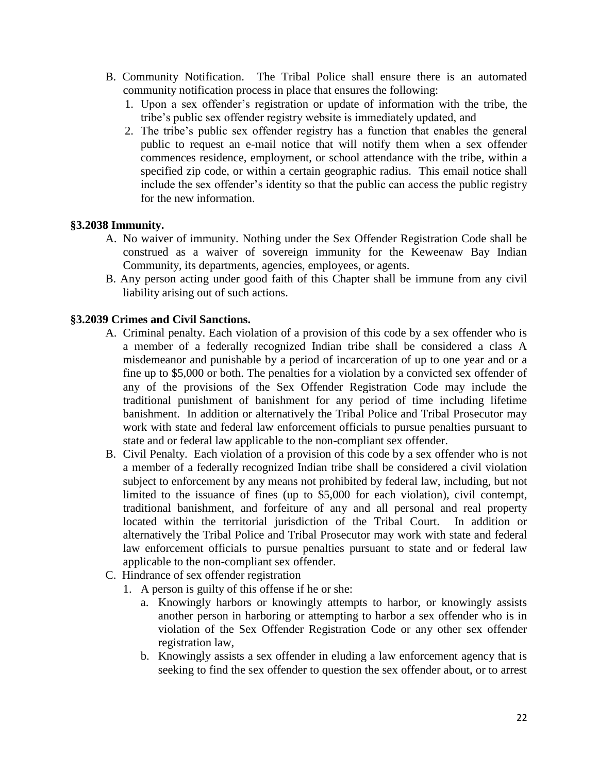- B. Community Notification. The Tribal Police shall ensure there is an automated community notification process in place that ensures the following:
	- 1. Upon a sex offender's registration or update of information with the tribe, the tribe's public sex offender registry website is immediately updated, and
	- 2. The tribe's public sex offender registry has a function that enables the general public to request an e-mail notice that will notify them when a sex offender commences residence, employment, or school attendance with the tribe, within a specified zip code, or within a certain geographic radius. This email notice shall include the sex offender's identity so that the public can access the public registry for the new information.

#### <span id="page-21-0"></span>**§3.2038 Immunity.**

- A. No waiver of immunity. Nothing under the Sex Offender Registration Code shall be construed as a waiver of sovereign immunity for the Keweenaw Bay Indian Community, its departments, agencies, employees, or agents.
- B. Any person acting under good faith of this Chapter shall be immune from any civil liability arising out of such actions.

#### <span id="page-21-1"></span>**§3.2039 Crimes and Civil Sanctions.**

- A. Criminal penalty. Each violation of a provision of this code by a sex offender who is a member of a federally recognized Indian tribe shall be considered a class A misdemeanor and punishable by a period of incarceration of up to one year and or a fine up to \$5,000 or both. The penalties for a violation by a convicted sex offender of any of the provisions of the Sex Offender Registration Code may include the traditional punishment of banishment for any period of time including lifetime banishment. In addition or alternatively the Tribal Police and Tribal Prosecutor may work with state and federal law enforcement officials to pursue penalties pursuant to state and or federal law applicable to the non-compliant sex offender.
- B. Civil Penalty. Each violation of a provision of this code by a sex offender who is not a member of a federally recognized Indian tribe shall be considered a civil violation subject to enforcement by any means not prohibited by federal law, including, but not limited to the issuance of fines (up to \$5,000 for each violation), civil contempt, traditional banishment, and forfeiture of any and all personal and real property located within the territorial jurisdiction of the Tribal Court. In addition or alternatively the Tribal Police and Tribal Prosecutor may work with state and federal law enforcement officials to pursue penalties pursuant to state and or federal law applicable to the non-compliant sex offender.
- C. Hindrance of sex offender registration
	- 1. A person is guilty of this offense if he or she:
		- a. Knowingly harbors or knowingly attempts to harbor, or knowingly assists another person in harboring or attempting to harbor a sex offender who is in violation of the Sex Offender Registration Code or any other sex offender registration law,
		- b. Knowingly assists a sex offender in eluding a law enforcement agency that is seeking to find the sex offender to question the sex offender about, or to arrest